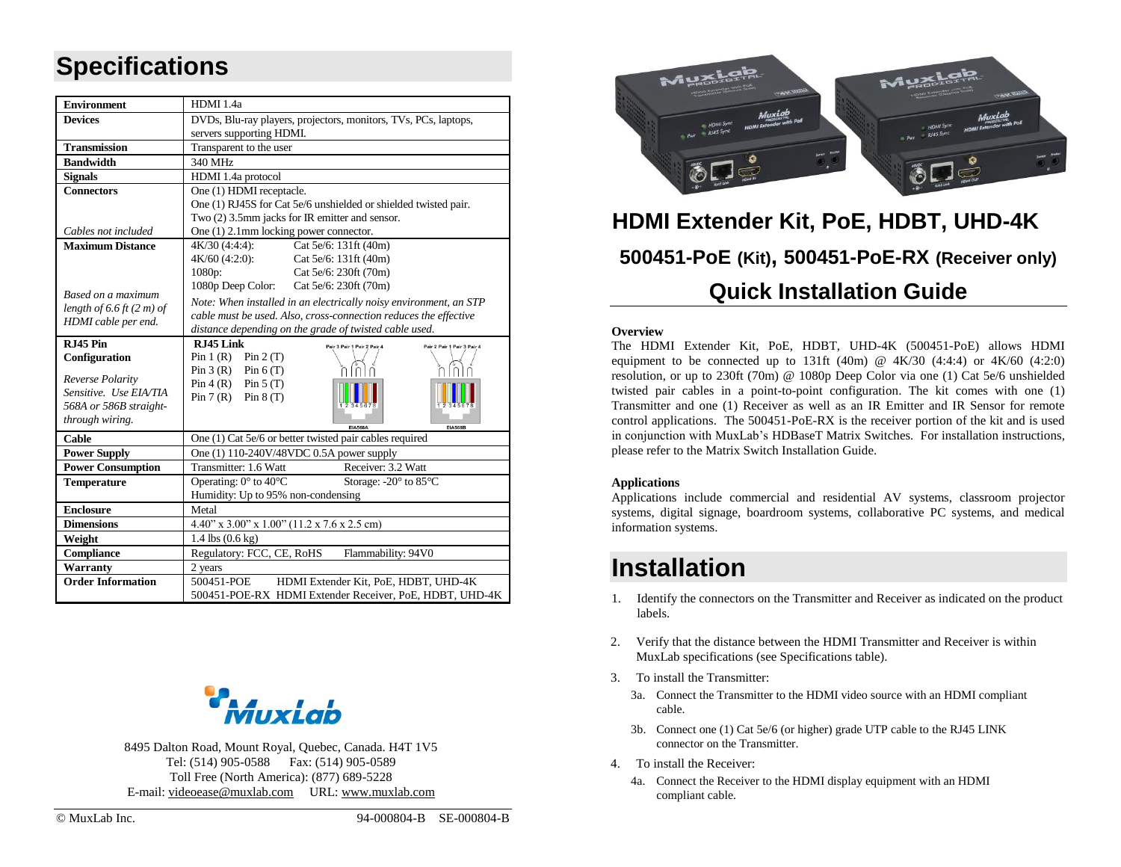# **Specifications**

| <b>Environment</b>            | HDMI 1.4a                                                               |  |  |  |  |  |  |  |
|-------------------------------|-------------------------------------------------------------------------|--|--|--|--|--|--|--|
| <b>Devices</b>                | DVDs, Blu-ray players, projectors, monitors, TVs, PCs, laptops,         |  |  |  |  |  |  |  |
|                               | servers supporting HDMI.                                                |  |  |  |  |  |  |  |
| <b>Transmission</b>           | Transparent to the user                                                 |  |  |  |  |  |  |  |
| <b>Bandwidth</b>              | 340 MHz                                                                 |  |  |  |  |  |  |  |
| <b>Signals</b>                | HDMI 1.4a protocol                                                      |  |  |  |  |  |  |  |
| <b>Connectors</b>             | One (1) HDMI receptacle.                                                |  |  |  |  |  |  |  |
|                               | One (1) RJ45S for Cat 5e/6 unshielded or shielded twisted pair.         |  |  |  |  |  |  |  |
|                               | Two (2) 3.5mm jacks for IR emitter and sensor.                          |  |  |  |  |  |  |  |
| Cables not included           | One $(1)$ 2.1mm locking power connector.                                |  |  |  |  |  |  |  |
| <b>Maximum Distance</b>       | Cat 5e/6: 131ft (40m)<br>4K/30 (4:4:4):                                 |  |  |  |  |  |  |  |
|                               | 4K/60 (4:2:0):<br>Cat 5e/6: 131ft (40m)                                 |  |  |  |  |  |  |  |
|                               | 1080p:<br>Cat 5e/6: 230ft (70m)                                         |  |  |  |  |  |  |  |
| Based on a maximum            | 1080p Deep Color:<br>Cat 5e/6: 230ft (70m)                              |  |  |  |  |  |  |  |
| length of $6.6$ ft $(2 m)$ of | Note: When installed in an electrically noisy environment, an STP       |  |  |  |  |  |  |  |
| HDMI cable per end.           | cable must be used. Also, cross-connection reduces the effective        |  |  |  |  |  |  |  |
|                               | distance depending on the grade of twisted cable used.                  |  |  |  |  |  |  |  |
| <b>R.I45 Pin</b>              | RJ45 Link<br>Pair 3 Pair 1 Pair 2 Pair 4<br>Pair 2 Pair 1 Pair 3 Pair 4 |  |  |  |  |  |  |  |
| Configuration                 | Pin $1(R)$ Pin $2(T)$<br>Pin $3(R)$ Pin $6(T)$                          |  |  |  |  |  |  |  |
| Reverse Polarity              | Pin $4(R)$ Pin $5(T)$                                                   |  |  |  |  |  |  |  |
| Sensitive. Use EIA/TIA        | Pin $7(R)$ Pin $8(T)$                                                   |  |  |  |  |  |  |  |
| 568A or 586B straight-        |                                                                         |  |  |  |  |  |  |  |
| through wiring.               | <b>EIA568A</b><br><b>EIA568B</b>                                        |  |  |  |  |  |  |  |
| Cable                         | One (1) Cat 5e/6 or better twisted pair cables required                 |  |  |  |  |  |  |  |
| <b>Power Supply</b>           | One (1) 110-240V/48VDC 0.5A power supply                                |  |  |  |  |  |  |  |
| <b>Power Consumption</b>      | Receiver: 3.2 Watt<br>Transmitter: 1.6 Watt                             |  |  |  |  |  |  |  |
| <b>Temperature</b>            | Operating: $0^{\circ}$ to $40^{\circ}$ C<br>Storage: -20° to 85°C       |  |  |  |  |  |  |  |
|                               | Humidity: Up to 95% non-condensing                                      |  |  |  |  |  |  |  |
| <b>Enclosure</b>              | Metal                                                                   |  |  |  |  |  |  |  |
| <b>Dimensions</b>             | $4.40''$ x $3.00''$ x $1.00''$ (11.2 x 7.6 x 2.5 cm)                    |  |  |  |  |  |  |  |
| Weight                        | 1.4 lbs (0.6 kg)                                                        |  |  |  |  |  |  |  |
| Compliance                    | Regulatory: FCC, CE, RoHS<br>Flammability: 94V0                         |  |  |  |  |  |  |  |
| Warranty                      | 2 years                                                                 |  |  |  |  |  |  |  |
| <b>Order Information</b>      | 500451-POE<br>HDMI Extender Kit, PoE, HDBT, UHD-4K                      |  |  |  |  |  |  |  |
|                               | 500451-POE-RX HDMI Extender Receiver, PoE, HDBT, UHD-4K                 |  |  |  |  |  |  |  |

8495 Dalton Road, Mount Royal, Quebec, Canada. H4T 1V5 Tel: (514) 905-0588 Fax: (514) 905-0589 Toll Free (North America): (877) 689-5228 E-mail: [videoease@muxlab.com](mailto:videoease@muxlab.com) URL[: www.muxlab.com](Original%20Documents/www.muxlab.com)



# **HDMI Extender Kit, PoE, HDBT, UHD-4K 500451-PoE (Kit), 500451-PoE-RX (Receiver only) Quick Installation Guide**

### **Overview**

The HDMI Extender Kit, PoE, HDBT, UHD-4K (500451-PoE) allows HDMI equipment to be connected up to 131ft (40m) @  $4K/30$  (4:4:4) or  $4K/60$  (4:2:0) resolution, or up to 230ft (70m) @ 1080p Deep Color via one (1) Cat 5e/6 unshielded twisted pair cables in a point-to-point configuration. The kit comes with one (1) Transmitter and one (1) Receiver as well as an IR Emitter and IR Sensor for remote control applications. The 500451-PoE-RX is the receiver portion of the kit and is used in conjunction with MuxLab's HDBaseT Matrix Switches. For installation instructions, please refer to the Matrix Switch Installation Guide.

### **Applications**

Applications include commercial and residential AV systems, classroom projector systems, digital signage, boardroom systems, collaborative PC systems, and medical information systems.

### **Installation**

- 1. Identify the connectors on the Transmitter and Receiver as indicated on the product labels.
- 2. Verify that the distance between the HDMI Transmitter and Receiver is within MuxLab specifications (see Specifications table).
- 3. To install the Transmitter:
	- 3a. Connect the Transmitter to the HDMI video source with an HDMI compliant cable.
	- 3b. Connect one (1) Cat 5e/6 (or higher) grade UTP cable to the RJ45 LINK connector on the Transmitter.
- 4. To install the Receiver:
	- 4a. Connect the Receiver to the HDMI display equipment with an HDMI compliant cable.